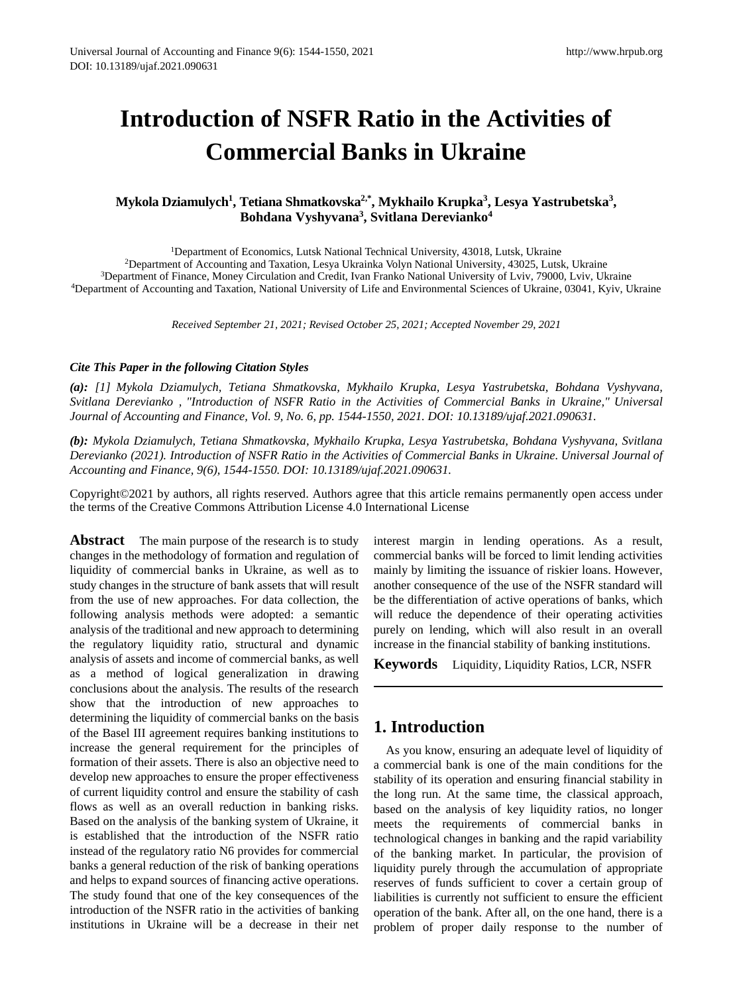# **Introduction of NSFR Ratio in the Activities of Commercial Banks in Ukraine**

#### **Mykola Dziamulych<sup>1</sup> , Tetiana Shmatkovska2,\* , Mykhailo Krupka<sup>3</sup> , Lesya Yastrubetska<sup>3</sup> , Bohdana Vyshyvana<sup>3</sup> , Svitlana Derevianko<sup>4</sup>**

<sup>1</sup>Department of Economics, Lutsk National Technical University, 43018, Lutsk, Ukraine Department of Accounting and Taxation, Lesya Ukrainka Volyn National University, 43025, Lutsk, Ukraine Department of Finance, Money Circulation and Credit, Ivan Franko National University of Lviv, 79000, Lviv, Ukraine Department of Accounting and Taxation, National University of Life and Environmental Sciences of Ukraine, 03041, Kyiv, Ukraine

*Received September 21, 2021; Revised October 25, 2021; Accepted November 29, 2021*

#### *Cite This Paper in the following Citation Styles*

*(a): [1] Mykola Dziamulych, Tetiana Shmatkovska, Mykhailo Krupka, Lesya Yastrubetska, Bohdana Vyshyvana, Svitlana Derevianko , "Introduction of NSFR Ratio in the Activities of Commercial Banks in Ukraine," Universal Journal of Accounting and Finance, Vol. 9, No. 6, pp. 1544-1550, 2021. DOI: 10.13189/ujaf.2021.090631.* 

*(b): Mykola Dziamulych, Tetiana Shmatkovska, Mykhailo Krupka, Lesya Yastrubetska, Bohdana Vyshyvana, Svitlana Derevianko (2021). Introduction of NSFR Ratio in the Activities of Commercial Banks in Ukraine. Universal Journal of Accounting and Finance, 9(6), 1544-1550. DOI: 10.13189/ujaf.2021.090631.* 

Copyright©2021 by authors, all rights reserved. Authors agree that this article remains permanently open access under the terms of the Creative Commons Attribution License 4.0 International License

**Abstract** The main purpose of the research is to study changes in the methodology of formation and regulation of liquidity of commercial banks in Ukraine, as well as to study changes in the structure of bank assets that will result from the use of new approaches. For data collection, the following analysis methods were adopted: a semantic analysis of the traditional and new approach to determining the regulatory liquidity ratio, structural and dynamic analysis of assets and income of commercial banks, as well as a method of logical generalization in drawing conclusions about the analysis. The results of the research show that the introduction of new approaches to determining the liquidity of commercial banks on the basis of the Basel III agreement requires banking institutions to increase the general requirement for the principles of formation of their assets. There is also an objective need to develop new approaches to ensure the proper effectiveness of current liquidity control and ensure the stability of cash flows as well as an overall reduction in banking risks. Based on the analysis of the banking system of Ukraine, it is established that the introduction of the NSFR ratio instead of the regulatory ratio N6 provides for commercial banks a general reduction of the risk of banking operations and helps to expand sources of financing active operations. The study found that one of the key consequences of the introduction of the NSFR ratio in the activities of banking institutions in Ukraine will be a decrease in their net

interest margin in lending operations. As a result, commercial banks will be forced to limit lending activities mainly by limiting the issuance of riskier loans. However, another consequence of the use of the NSFR standard will be the differentiation of active operations of banks, which will reduce the dependence of their operating activities purely on lending, which will also result in an overall increase in the financial stability of banking institutions.

**Keywords** Liquidity, Liquidity Ratios, LCR, NSFR

## **1. Introduction**

As you know, ensuring an adequate level of liquidity of a commercial bank is one of the main conditions for the stability of its operation and ensuring financial stability in the long run. At the same time, the classical approach, based on the analysis of key liquidity ratios, no longer meets the requirements of commercial banks in technological changes in banking and the rapid variability of the banking market. In particular, the provision of liquidity purely through the accumulation of appropriate reserves of funds sufficient to cover a certain group of liabilities is currently not sufficient to ensure the efficient operation of the bank. After all, on the one hand, there is a problem of proper daily response to the number of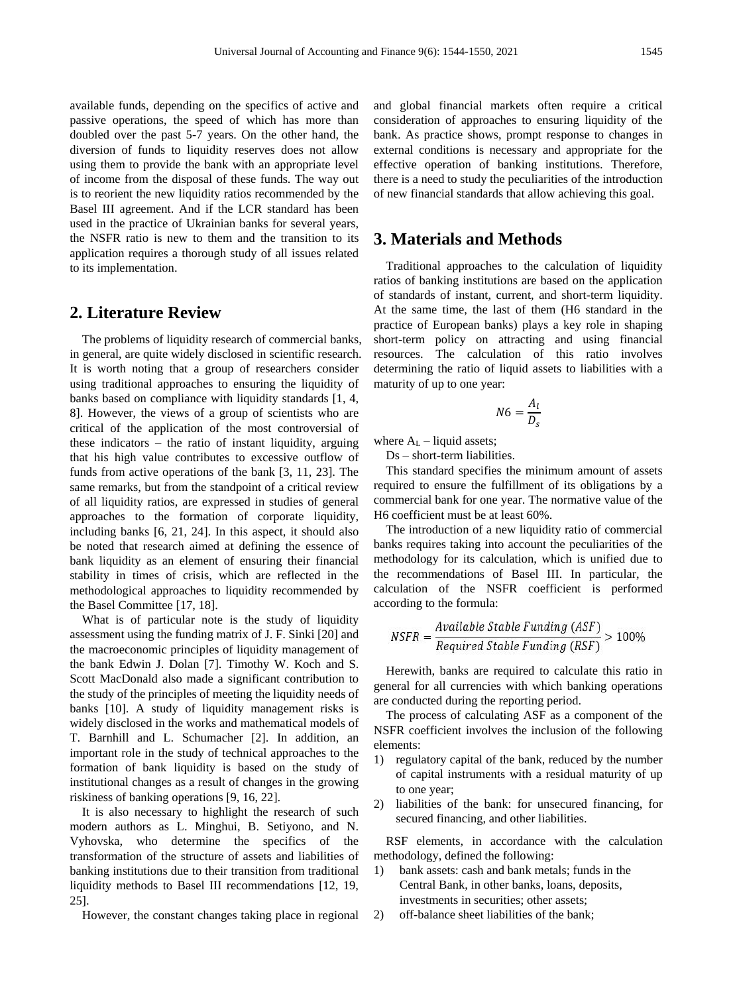available funds, depending on the specifics of active and passive operations, the speed of which has more than doubled over the past 5-7 years. On the other hand, the diversion of funds to liquidity reserves does not allow using them to provide the bank with an appropriate level of income from the disposal of these funds. The way out is to reorient the new liquidity ratios recommended by the Basel III agreement. And if the LCR standard has been used in the practice of Ukrainian banks for several years, the NSFR ratio is new to them and the transition to its application requires a thorough study of all issues related to its implementation.

#### **2. Literature Review**

The problems of liquidity research of commercial banks, in general, are quite widely disclosed in scientific research. It is worth noting that a group of researchers consider using traditional approaches to ensuring the liquidity of banks based on compliance with liquidity standards [1, 4, 8]. However, the views of a group of scientists who are critical of the application of the most controversial of these indicators – the ratio of instant liquidity, arguing that his high value contributes to excessive outflow of funds from active operations of the bank [3, 11, 23]. The same remarks, but from the standpoint of a critical review of all liquidity ratios, are expressed in studies of general approaches to the formation of corporate liquidity, including banks [6, 21, 24]. In this aspect, it should also be noted that research aimed at defining the essence of bank liquidity as an element of ensuring their financial stability in times of crisis, which are reflected in the methodological approaches to liquidity recommended by the Basel Committee [17, 18].

What is of particular note is the study of liquidity assessment using the funding matrix of J. F. Sinki [20] and the macroeconomic principles of liquidity management of the bank Edwin J. Dolan [7]. Timothy W. Koch and S. Scott MacDonald also made a significant contribution to the study of the principles of meeting the liquidity needs of banks [10]. A study of liquidity management risks is widely disclosed in the works and mathematical models of T. Barnhill and L. Schumacher [2]. In addition, an important role in the study of technical approaches to the formation of bank liquidity is based on the study of institutional changes as a result of changes in the growing riskiness of banking operations [9, 16, 22].

It is also necessary to highlight the research of such modern authors as L. Minghui, B. Setiyono, and N. Vyhovska, who determine the specifics of the transformation of the structure of assets and liabilities of banking institutions due to their transition from traditional liquidity methods to Basel III recommendations [12, 19, 25].

However, the constant changes taking place in regional

and global financial markets often require a critical consideration of approaches to ensuring liquidity of the bank. As practice shows, prompt response to changes in external conditions is necessary and appropriate for the effective operation of banking institutions. Therefore, there is a need to study the peculiarities of the introduction of new financial standards that allow achieving this goal.

#### **3. Materials and Methods**

Traditional approaches to the calculation of liquidity ratios of banking institutions are based on the application of standards of instant, current, and short-term liquidity. At the same time, the last of them (H6 standard in the practice of European banks) plays a key role in shaping short-term policy on attracting and using financial resources. The calculation of this ratio involves determining the ratio of liquid assets to liabilities with a maturity of up to one year:

$$
N6 = \frac{A_l}{D_s}
$$

where  $A_L$  – liquid assets;

Ds – short-term liabilities.

This standard specifies the minimum amount of assets required to ensure the fulfillment of its obligations by a commercial bank for one year. The normative value of the H6 coefficient must be at least 60%.

The introduction of a new liquidity ratio of commercial banks requires taking into account the peculiarities of the methodology for its calculation, which is unified due to the recommendations of Basel III. In particular, the calculation of the NSFR coefficient is performed according to the formula:

$$
NSFR = \frac{Available \ Stable \ Funding \ (ASF)}{Required \ Stable \ Funding \ (RSF)} > 100\%
$$

Herewith, banks are required to calculate this ratio in general for all currencies with which banking operations are conducted during the reporting period.

The process of calculating ASF as a component of the NSFR coefficient involves the inclusion of the following elements:

- 1) regulatory capital of the bank, reduced by the number of capital instruments with a residual maturity of up to one year;
- 2) liabilities of the bank: for unsecured financing, for secured financing, and other liabilities.

RSF elements, in accordance with the calculation methodology, defined the following:

- 1) bank assets: cash and bank metals; funds in the Central Bank, in other banks, loans, deposits, investments in securities; other assets;
- 2) off-balance sheet liabilities of the bank;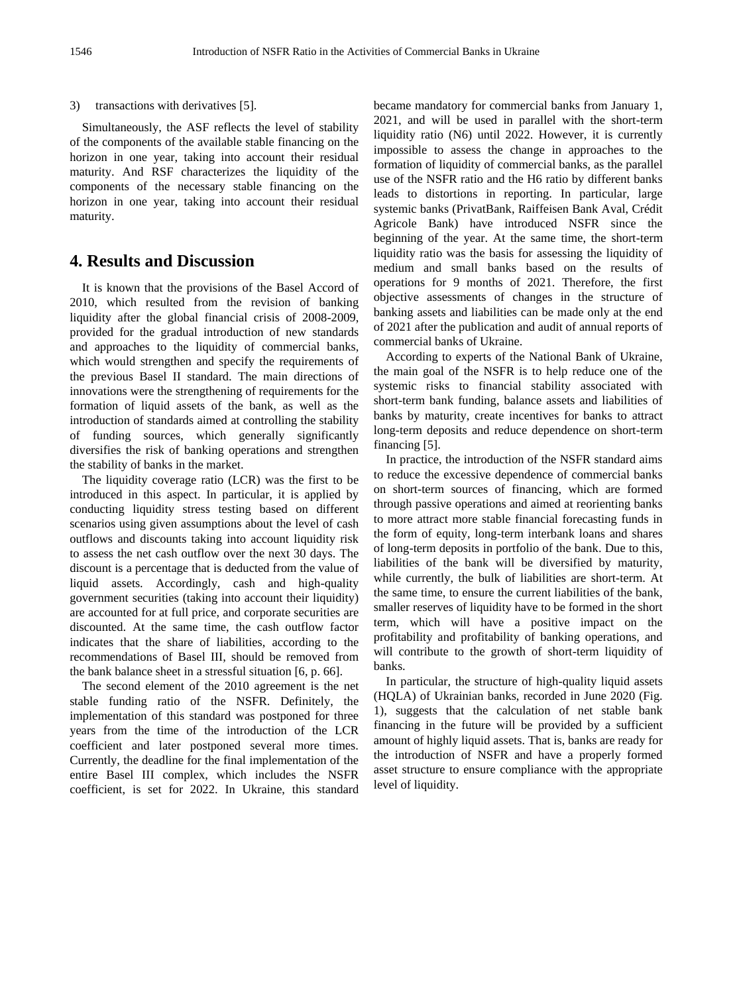3) transactions with derivatives [5].

Simultaneously, the ASF reflects the level of stability of the components of the available stable financing on the horizon in one year, taking into account their residual maturity. And RSF characterizes the liquidity of the components of the necessary stable financing on the horizon in one year, taking into account their residual maturity.

#### **4. Results and Discussion**

It is known that the provisions of the Basel Accord of 2010, which resulted from the revision of banking liquidity after the global financial crisis of 2008-2009, provided for the gradual introduction of new standards and approaches to the liquidity of commercial banks, which would strengthen and specify the requirements of the previous Basel II standard. The main directions of innovations were the strengthening of requirements for the formation of liquid assets of the bank, as well as the introduction of standards aimed at controlling the stability of funding sources, which generally significantly diversifies the risk of banking operations and strengthen the stability of banks in the market.

The liquidity coverage ratio (LCR) was the first to be introduced in this aspect. In particular, it is applied by conducting liquidity stress testing based on different scenarios using given assumptions about the level of cash outflows and discounts taking into account liquidity risk to assess the net cash outflow over the next 30 days. The discount is a percentage that is deducted from the value of liquid assets. Accordingly, cash and high-quality government securities (taking into account their liquidity) are accounted for at full price, and corporate securities are discounted. At the same time, the cash outflow factor indicates that the share of liabilities, according to the recommendations of Basel III, should be removed from the bank balance sheet in a stressful situation [6, p. 66].

The second element of the 2010 agreement is the net stable funding ratio of the NSFR. Definitely, the implementation of this standard was postponed for three years from the time of the introduction of the LCR coefficient and later postponed several more times. Currently, the deadline for the final implementation of the entire Basel III complex, which includes the NSFR coefficient, is set for 2022. In Ukraine, this standard

became mandatory for commercial banks from January 1, 2021, and will be used in parallel with the short-term liquidity ratio (N6) until 2022. However, it is currently impossible to assess the change in approaches to the formation of liquidity of commercial banks, as the parallel use of the NSFR ratio and the H6 ratio by different banks leads to distortions in reporting. In particular, large systemic banks (PrivatBank, Raiffeisen Bank Aval, Crédit Agricole Bank) have introduced NSFR since the beginning of the year. At the same time, the short-term liquidity ratio was the basis for assessing the liquidity of medium and small banks based on the results of operations for 9 months of 2021. Therefore, the first objective assessments of changes in the structure of banking assets and liabilities can be made only at the end of 2021 after the publication and audit of annual reports of commercial banks of Ukraine.

According to experts of the National Bank of Ukraine, the main goal of the NSFR is to help reduce one of the systemic risks to financial stability associated with short-term bank funding, balance assets and liabilities of banks by maturity, create incentives for banks to attract long-term deposits and reduce dependence on short-term financing [5].

In practice, the introduction of the NSFR standard aims to reduce the excessive dependence of commercial banks on short-term sources of financing, which are formed through passive operations and aimed at reorienting banks to more attract more stable financial forecasting funds in the form of equity, long-term interbank loans and shares of long-term deposits in portfolio of the bank. Due to this, liabilities of the bank will be diversified by maturity, while currently, the bulk of liabilities are short-term. At the same time, to ensure the current liabilities of the bank, smaller reserves of liquidity have to be formed in the short term, which will have a positive impact on the profitability and profitability of banking operations, and will contribute to the growth of short-term liquidity of banks.

In particular, the structure of high-quality liquid assets (HQLA) of Ukrainian banks, recorded in June 2020 (Fig. 1), suggests that the calculation of net stable bank financing in the future will be provided by a sufficient amount of highly liquid assets. That is, banks are ready for the introduction of NSFR and have a properly formed asset structure to ensure compliance with the appropriate level of liquidity.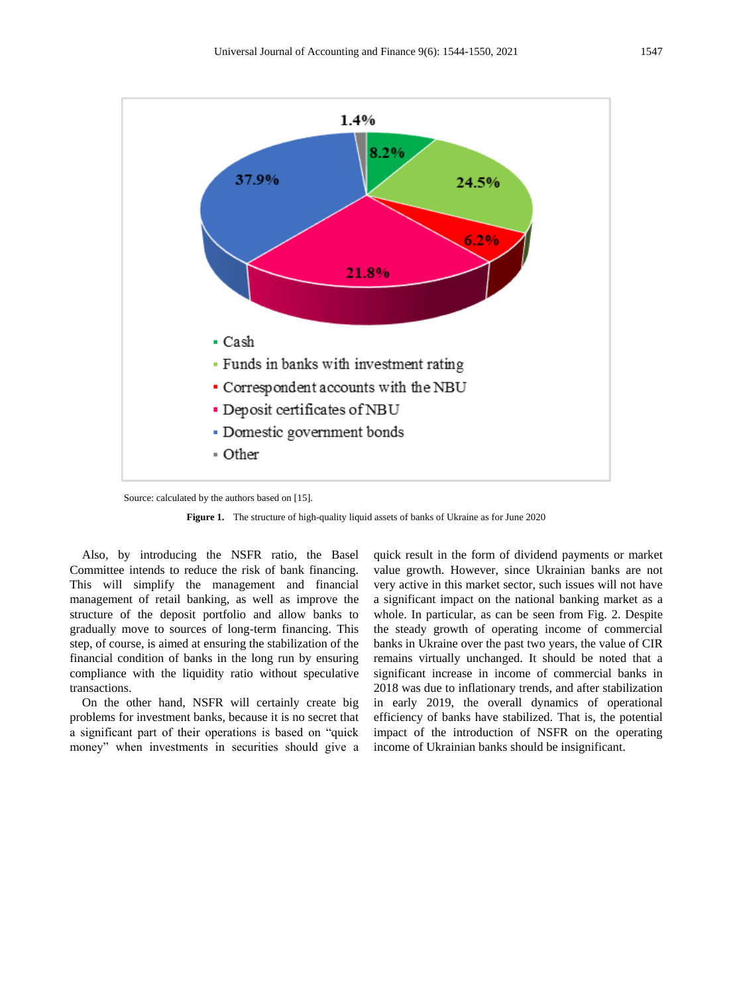

Source: calculated by the authors based on [15].

**Figure 1.** The structure of high-quality liquid assets of banks of Ukraine as for June 2020

Also, by introducing the NSFR ratio, the Basel Committee intends to reduce the risk of bank financing. This will simplify the management and financial management of retail banking, as well as improve the structure of the deposit portfolio and allow banks to gradually move to sources of long-term financing. This step, of course, is aimed at ensuring the stabilization of the financial condition of banks in the long run by ensuring compliance with the liquidity ratio without speculative transactions.

On the other hand, NSFR will certainly create big problems for investment banks, because it is no secret that a significant part of their operations is based on "quick money" when investments in securities should give a quick result in the form of dividend payments or market value growth. However, since Ukrainian banks are not very active in this market sector, such issues will not have a significant impact on the national banking market as a whole. In particular, as can be seen from Fig. 2. Despite the steady growth of operating income of commercial banks in Ukraine over the past two years, the value of CIR remains virtually unchanged. It should be noted that a significant increase in income of commercial banks in 2018 was due to inflationary trends, and after stabilization in early 2019, the overall dynamics of operational efficiency of banks have stabilized. That is, the potential impact of the introduction of NSFR on the operating income of Ukrainian banks should be insignificant.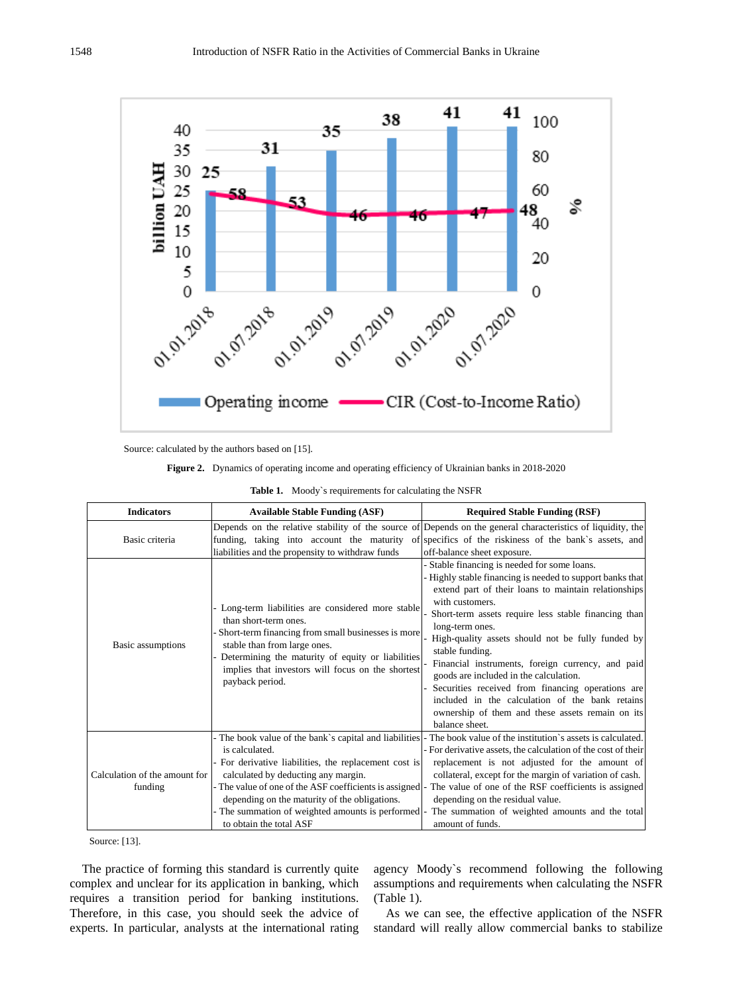

Source: calculated by the authors based on [15].

**Figure 2.** Dynamics of operating income and operating efficiency of Ukrainian banks in 2018-2020

|  |  |  | <b>Table 1.</b> Moody's requirements for calculating the NSFR |  |
|--|--|--|---------------------------------------------------------------|--|
|--|--|--|---------------------------------------------------------------|--|

| <b>Indicators</b>                        | <b>Available Stable Funding (ASF)</b>                                                                                                                                                                                                                                                                                                                              | <b>Required Stable Funding (RSF)</b>                                                                                                                                                                                                                                                                                                                                                                                                                                                                                                                                                                             |
|------------------------------------------|--------------------------------------------------------------------------------------------------------------------------------------------------------------------------------------------------------------------------------------------------------------------------------------------------------------------------------------------------------------------|------------------------------------------------------------------------------------------------------------------------------------------------------------------------------------------------------------------------------------------------------------------------------------------------------------------------------------------------------------------------------------------------------------------------------------------------------------------------------------------------------------------------------------------------------------------------------------------------------------------|
| Basic criteria                           | liabilities and the propensity to withdraw funds                                                                                                                                                                                                                                                                                                                   | Depends on the relative stability of the source of Depends on the general characteristics of liquidity, the<br>funding, taking into account the maturity of specifics of the riskiness of the bank's assets, and<br>off-balance sheet exposure.                                                                                                                                                                                                                                                                                                                                                                  |
| Basic assumptions                        | - Long-term liabilities are considered more stable<br>than short-term ones.<br>Short-term financing from small businesses is more<br>stable than from large ones.<br>Determining the maturity of equity or liabilities<br>implies that investors will focus on the shortest<br>payback period.                                                                     | Stable financing is needed for some loans.<br>Highly stable financing is needed to support banks that<br>extend part of their loans to maintain relationships<br>with customers.<br>Short-term assets require less stable financing than<br>long-term ones.<br>High-quality assets should not be fully funded by<br>stable funding.<br>Financial instruments, foreign currency, and paid<br>goods are included in the calculation.<br>Securities received from financing operations are<br>included in the calculation of the bank retains<br>ownership of them and these assets remain on its<br>balance sheet. |
| Calculation of the amount for<br>funding | - The book value of the bank's capital and liabilities<br>is calculated.<br>- For derivative liabilities, the replacement cost is<br>calculated by deducting any margin.<br>- The value of one of the ASF coefficients is assigned<br>depending on the maturity of the obligations.<br>- The summation of weighted amounts is performed<br>to obtain the total ASF | The book value of the institution's assets is calculated.<br>- For derivative assets, the calculation of the cost of their<br>replacement is not adjusted for the amount of<br>collateral, except for the margin of variation of cash.<br>The value of one of the RSF coefficients is assigned<br>depending on the residual value.<br>The summation of weighted amounts and the total<br>amount of funds.                                                                                                                                                                                                        |

Source: [13].

The practice of forming this standard is currently quite complex and unclear for its application in banking, which requires a transition period for banking institutions. Therefore, in this case, you should seek the advice of experts. In particular, analysts at the international rating agency Moody`s recommend following the following assumptions and requirements when calculating the NSFR (Table 1).

As we can see, the effective application of the NSFR standard will really allow commercial banks to stabilize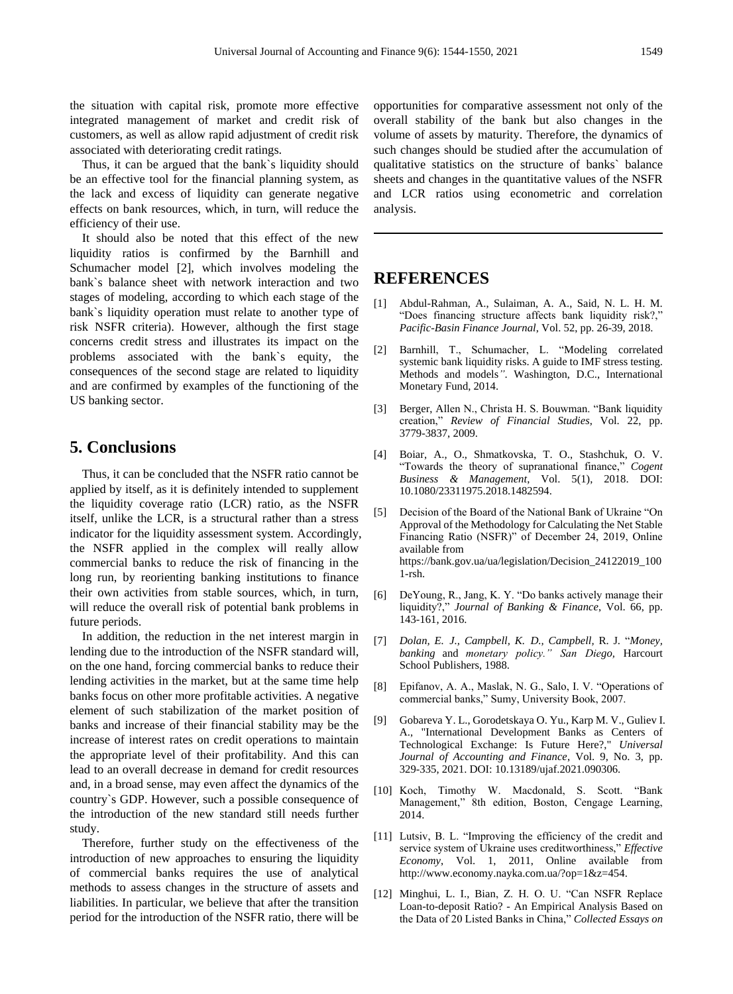the situation with capital risk, promote more effective integrated management of market and credit risk of customers, as well as allow rapid adjustment of credit risk associated with deteriorating credit ratings.

Thus, it can be argued that the bank`s liquidity should be an effective tool for the financial planning system, as the lack and excess of liquidity can generate negative effects on bank resources, which, in turn, will reduce the efficiency of their use.

It should also be noted that this effect of the new liquidity ratios is confirmed by the Barnhill and Schumacher model [2], which involves modeling the bank`s balance sheet with network interaction and two stages of modeling, according to which each stage of the bank`s liquidity operation must relate to another type of risk NSFR criteria). However, although the first stage concerns credit stress and illustrates its impact on the problems associated with the bank`s equity, the consequences of the second stage are related to liquidity and are confirmed by examples of the functioning of the US banking sector.

#### **5. Conclusions**

Thus, it can be concluded that the NSFR ratio cannot be applied by itself, as it is definitely intended to supplement the liquidity coverage ratio (LCR) ratio, as the NSFR itself, unlike the LCR, is a structural rather than a stress indicator for the liquidity assessment system. Accordingly, the NSFR applied in the complex will really allow commercial banks to reduce the risk of financing in the long run, by reorienting banking institutions to finance their own activities from stable sources, which, in turn, will reduce the overall risk of potential bank problems in future periods.

In addition, the reduction in the net interest margin in lending due to the introduction of the NSFR standard will, on the one hand, forcing commercial banks to reduce their lending activities in the market, but at the same time help banks focus on other more profitable activities. A negative element of such stabilization of the market position of banks and increase of their financial stability may be the increase of interest rates on credit operations to maintain the appropriate level of their profitability. And this can lead to an overall decrease in demand for credit resources and, in a broad sense, may even affect the dynamics of the country`s GDP. However, such a possible consequence of the introduction of the new standard still needs further study.

Therefore, further study on the effectiveness of the introduction of new approaches to ensuring the liquidity of commercial banks requires the use of analytical methods to assess changes in the structure of assets and liabilities. In particular, we believe that after the transition period for the introduction of the NSFR ratio, there will be

opportunities for comparative assessment not only of the overall stability of the bank but also changes in the volume of assets by maturity. Therefore, the dynamics of such changes should be studied after the accumulation of qualitative statistics on the structure of banks` balance sheets and changes in the quantitative values of the NSFR and LCR ratios using econometric and correlation analysis.

### **REFERENCES**

- [1] Abdul-Rahman, A., Sulaiman, A. A., Said, N. L. H. M. "Does financing structure affects bank liquidity risk?," *Pacific-Basin Finance Journal*, Vol. 52, pp. 26-39, 2018.
- [2] Barnhill, T., Schumacher, L. "Modeling correlated systemic bank liquidity risks. A guide to IMF stress testing. Methods and models*"*. Washington, D.C., International Monetary Fund, 2014.
- [3] Berger, Allen N., Christa H. S. Bouwman. "Bank liquidity creation," *Review of Financial Studies*, Vol. 22, pp. 3779-3837, 2009.
- [4] Boiar, A., O., Shmatkovska, T. O., Stashchuk, O. V. "Towards the theory of supranational finance," *Cogent Business & Management*, Vol. 5(1), 2018. DOI: 10.1080/23311975.2018.1482594.
- [5] Decision of the Board of the National Bank of Ukraine "On Approval of the Methodology for Calculating the Net Stable Financing Ratio (NSFR)" of December 24, 2019, Online available from https://bank.gov.ua/ua/legislation/Decision\_24122019\_100 1-rsh.
- [6] DeYoung, R., Jang, K. Y. "Do banks actively manage their liquidity?," *Journal of Banking & Finance*, Vol. 66, pp. 143-161, 2016.
- [7] *Dolan, E. J., Campbell, K. D., Campbell,* R. J. "*Money, banking* and *monetary policy." San Diego,* Harcourt School Publishers, 1988.
- [8] Epifanov, A. A., Maslak, N. G., Salo, I. V. "Operations of commercial banks," Sumy, University Book, 2007.
- [9] Gobareva Y. L., Gorodetskaya O. Yu., Karp M. V., Guliev I. A., "International Development Banks as Centers of Technological Exchange: Is Future Here?," *Universal Journal of Accounting and Finance*, Vol. 9, No. 3, pp. 329-335, 2021. DOI: 10.13189/ujaf.2021.090306.
- [10] Koch, Timothy W. Macdonald, S. Scott. "Bank Management," 8th edition, Boston, Cengage Learning, 2014.
- [11] Lutsiv, B. L. "Improving the efficiency of the credit and service system of Ukraine uses creditworthiness," *Effective Economy*, Vol. 1, 2011, Online available from http://www.economy.nayka.com.ua/?op=1&z=454.
- [12] Minghui, L. I., Bian, Z. H. O. U. "Can NSFR Replace Loan-to-deposit Ratio? - An Empirical Analysis Based on the Data of 20 Listed Banks in China," *Collected Essays on*